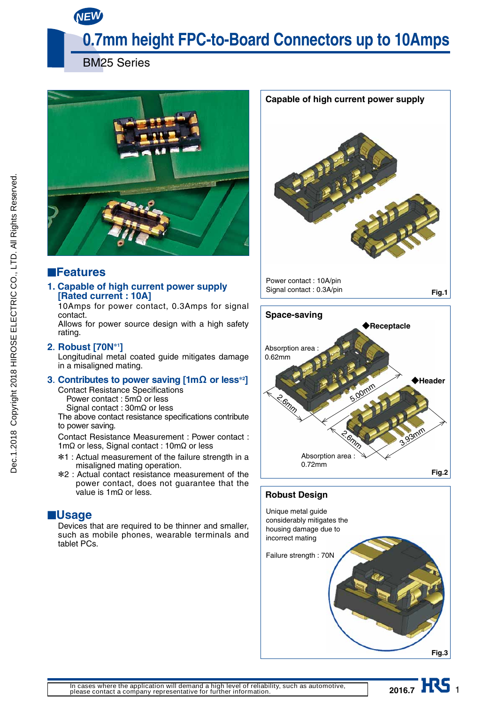*NEW*

# **0.7mm height FPC-to-Board Connectors up to 10Amps**

BM25 Series



## ■**Features**

### **1. Capable of high current power supply [Rated current : 10A]**

10Amps for power contact, 0.3Amps for signal contact.

Allows for power source design with a high safety rating.

### **2. Robust [70N**\***<sup>1</sup> ]**

Longitudinal metal coated guide mitigates damage in a misaligned mating.

### **3. Contributes to power saving [1m**Ω **or less**\***<sup>2</sup> ]**

Contact Resistance Specifications

Power contact :  $5m\Omega$  or less

Signal contact :  $30 \text{m}\Omega$  or less

The above contact resistance specifications contribute to power saving.

Contact Resistance Measurement : Power contact :  $1m\Omega$  or less, Signal contact :  $10m\Omega$  or less

- \*1 : Actual measurement of the failure strength in a misaligned mating operation.
- \*2 : Actual contact resistance measurement of the power contact, does not guarantee that the value is  $1 \text{m}\Omega$  or less.

## ■**Usage**

Devices that are required to be thinner and smaller, such as mobile phones, wearable terminals and tablet PCs.







2016.7 **IIV** 1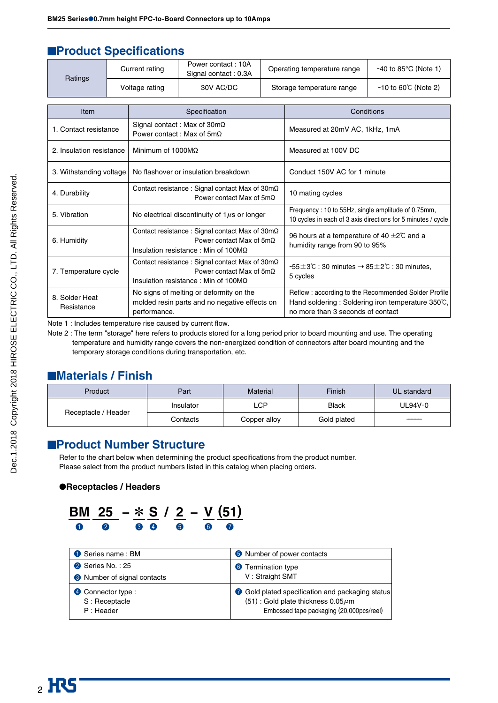## **EProduct Specifications**

| Ratings                      |  | <b>Current rating</b>                                                                                                            | Power contact: 10A<br>Signal contact: 0.3A                                               |  | Operating temperature range                                                                                                                   | $-40$ to 85 $\degree$ C (Note 1)                             |  |  |
|------------------------------|--|----------------------------------------------------------------------------------------------------------------------------------|------------------------------------------------------------------------------------------|--|-----------------------------------------------------------------------------------------------------------------------------------------------|--------------------------------------------------------------|--|--|
|                              |  | Voltage rating                                                                                                                   | 30V AC/DC                                                                                |  | Storage temperature range                                                                                                                     | $-10$ to 60°C (Note 2)                                       |  |  |
|                              |  |                                                                                                                                  |                                                                                          |  |                                                                                                                                               |                                                              |  |  |
| Item                         |  | Specification                                                                                                                    |                                                                                          |  | Conditions                                                                                                                                    |                                                              |  |  |
| 1. Contact resistance        |  | Power contact: Max of $5m\Omega$                                                                                                 | Signal contact: Max of $30m\Omega$                                                       |  | Measured at 20mV AC, 1kHz, 1mA                                                                                                                |                                                              |  |  |
| 2. Insulation resistance     |  | Minimum of $1000M\Omega$                                                                                                         |                                                                                          |  | Measured at 100V DC                                                                                                                           |                                                              |  |  |
| 3. Withstanding voltage      |  | No flashover or insulation breakdown                                                                                             |                                                                                          |  | Conduct 150V AC for 1 minute                                                                                                                  |                                                              |  |  |
| 4. Durability                |  | Contact resistance: Signal contact Max of $30m\Omega$<br>Power contact Max of $5m\Omega$                                         |                                                                                          |  | 10 mating cycles                                                                                                                              |                                                              |  |  |
| 5. Vibration                 |  | No electrical discontinuity of $1\mu s$ or longer                                                                                |                                                                                          |  | Frequency: 10 to 55Hz, single amplitude of 0.75mm,                                                                                            | 10 cycles in each of 3 axis directions for 5 minutes / cycle |  |  |
| 6. Humidity                  |  | Contact resistance : Signal contact Max of 30mΩ<br>Power contact Max of $5m\Omega$<br>Insulation resistance: Min of $100M\Omega$ |                                                                                          |  | 96 hours at a temperature of 40 $\pm$ 2°C and a<br>humidity range from 90 to 95%                                                              |                                                              |  |  |
| 7. Temperature cycle         |  | Contact resistance: Signal contact Max of 30mΩ<br>Power contact Max of $5m\Omega$<br>Insulation resistance: Min of $100M\Omega$  |                                                                                          |  | $-55\pm3$ °C : 30 minutes $\rightarrow 85\pm2$ °C : 30 minutes.<br>5 cycles                                                                   |                                                              |  |  |
| 8. Solder Heat<br>Resistance |  | performance.                                                                                                                     | No signs of melting or deformity on the<br>molded resin parts and no negative effects on |  | Reflow: according to the Recommended Solder Profile<br>Hand soldering: Soldering iron temperature 350°C,<br>no more than 3 seconds of contact |                                                              |  |  |

Note 1 : Includes temperature rise caused by current flow.

Note 2 : The term "storage" here refers to products stored for a long period prior to board mounting and use. The operating temperature and humidity range covers the non-energized condition of connectors after board mounting and the temporary storage conditions during transportation, etc.

## ■**Materials / Finish**

| Product             | Part      | Material     | Finish       | UL standard  |  |
|---------------------|-----------|--------------|--------------|--------------|--|
|                     | Insulator | LCP          | <b>Black</b> | UL94V-0      |  |
| Receptacle / Header | Contacts  | Copper alloy | Gold plated  | ------------ |  |

## ■**Product Number Structure**

Refer to the chart below when determining the product specifications from the product number. Please select from the product numbers listed in this catalog when placing orders.

### ●**Receptacles / Headers**



| Series name: BM                        | <b>6</b> Number of power contacts                                                            |
|----------------------------------------|----------------------------------------------------------------------------------------------|
| 2 Series No.: 25                       | <b>6</b> Termination type                                                                    |
| <sup>8</sup> Number of signal contacts | V: Straight SMT                                                                              |
| 4 Connector type :<br>S: Receptacle    | Gold plated specification and packaging status<br>$(51)$ : Gold plate thickness 0.05 $\mu$ m |
| $P :$ Header                           | Embossed tape packaging (20,000pcs/reel)                                                     |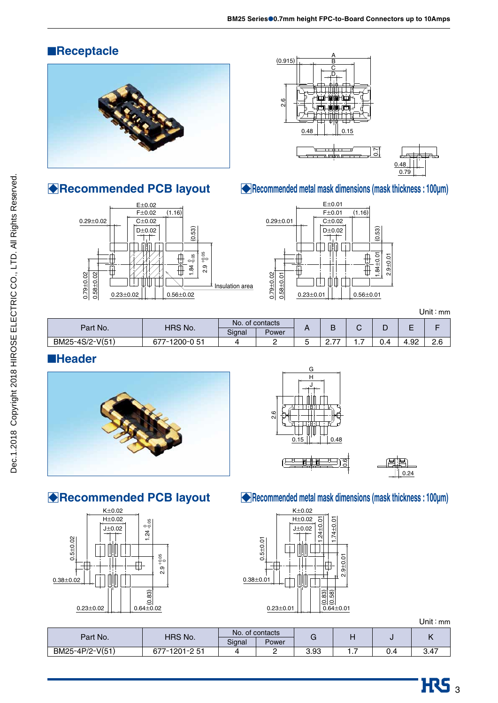## ■**Receptacle**



□**Recommended PCB layout**

## A  $(0.915)$  $\overline{C}$ D 2.6  $\mathbf{0}$ 0.15  $\bar{\mathbb{E}}$ m F



E±0.02  $F±0.02$   $(1.16)$  $0.29 \pm 0.02$   $C \pm 0.02$ D±0.02 D±0.02 (0.53) inin m  $\overline{\phantom{a}}$ ⊕ +0.05 08ع<br>م 2.9 1.84 ₿  $0.79 + 0.02$  $0.58 + 0.02$ 0.79±0.02  $0.58 \pm 0.02$ ШШ Insulation area  $0.23 \pm 0.02$  0.56 $\pm 0.02$ 



Unit:mm

|                 |                |                 |       |   |                         |   |     |      | ---------- |
|-----------------|----------------|-----------------|-------|---|-------------------------|---|-----|------|------------|
| Part No.        | <b>HRS No.</b> | No. of contacts |       |   |                         |   |     | -    |            |
|                 |                | Signal          | Power |   |                         | ◡ | ┕   | -    |            |
| BM25-4S/2-V(51) | 677-1200-0 51  |                 | -     | ີ | $\rightarrow$<br>$\sim$ | . | υ.4 | 4.92 | റ മ<br>Z.U |

## ■**Header**







●**Recommended PCB layout** 



### □**Recommended metal mask dimensions (mask thickness : 100µm)**



Unit:mm

| Part No.        | HRS No.     | No. of contacts |       |      |          |      |
|-----------------|-------------|-----------------|-------|------|----------|------|
|                 |             | Signal          | Power |      | . .      |      |
| BM25-4P/2-V(51) | 7-1901-9 51 |                 | -     | 3.93 | $\cdots$ | 3.47 |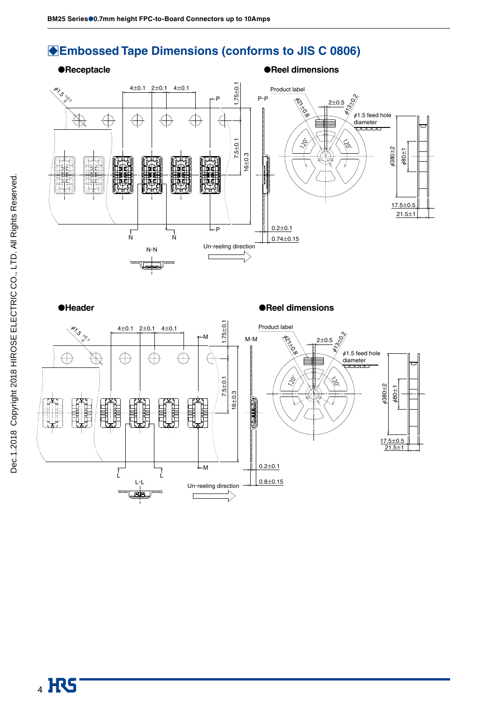## □**Embossed Tape Dimensions (conforms to JIS C 0806)**

### ●**Receptacle** ●**Reel dimensions**



●**Header** ●**Reel dimensions** 

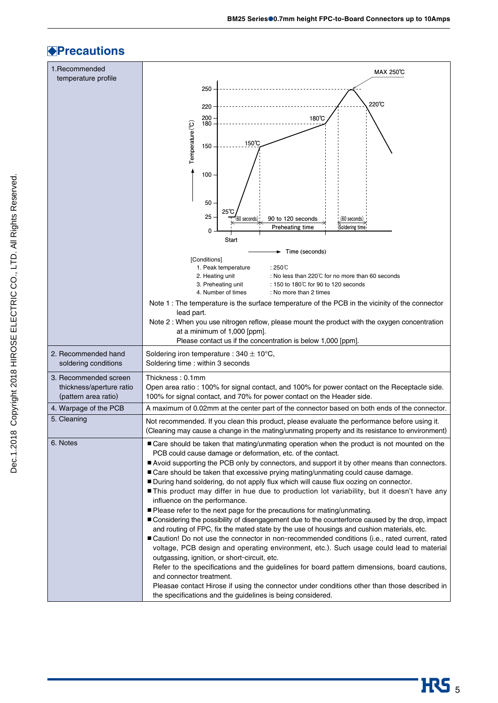## **Precautions**

| 1.Recommended                                     | MAX 250°C                                                                                                                                                                                       |
|---------------------------------------------------|-------------------------------------------------------------------------------------------------------------------------------------------------------------------------------------------------|
| temperature profile                               | 250                                                                                                                                                                                             |
|                                                   |                                                                                                                                                                                                 |
|                                                   | 220℃<br>220                                                                                                                                                                                     |
|                                                   | 200<br>180°C<br>180                                                                                                                                                                             |
|                                                   | Temperature <sup>(°C)</sup><br>150℃                                                                                                                                                             |
|                                                   | 150                                                                                                                                                                                             |
|                                                   |                                                                                                                                                                                                 |
|                                                   | 100                                                                                                                                                                                             |
|                                                   |                                                                                                                                                                                                 |
|                                                   | 50<br>25°C                                                                                                                                                                                      |
|                                                   | 25<br>(60 seconds)<br>90 to 120 seconds<br>(60 seconds)                                                                                                                                         |
|                                                   | Soldering time<br><b>Preheating time</b><br>0<br>Start                                                                                                                                          |
|                                                   | Time (seconds)                                                                                                                                                                                  |
|                                                   | [Conditions]<br>$:250^{\circ}$ C                                                                                                                                                                |
|                                                   | 1. Peak temperature<br>2. Heating unit<br>: No less than $220^{\circ}$ for no more than 60 seconds                                                                                              |
|                                                   | 3. Preheating unit<br>: 150 to 180℃ for 90 to 120 seconds<br>4. Number of times<br>: No more than 2 times                                                                                       |
|                                                   | Note 1: The temperature is the surface temperature of the PCB in the vicinity of the connector                                                                                                  |
|                                                   | lead part.                                                                                                                                                                                      |
|                                                   | Note 2 : When you use nitrogen reflow, please mount the product with the oxygen concentration<br>at a minimum of 1,000 [ppm].                                                                   |
|                                                   | Please contact us if the concentration is below 1,000 [ppm].                                                                                                                                    |
| 2. Recommended hand                               | Soldering iron temperature : 340 $\pm$ 10°C,<br>Soldering time: within 3 seconds                                                                                                                |
| soldering conditions                              |                                                                                                                                                                                                 |
| 3. Recommended screen<br>thickness/aperture ratio | Thickness: 0.1mm<br>Open area ratio : 100% for signal contact, and 100% for power contact on the Receptacle side.                                                                               |
| (pattern area ratio)                              | 100% for signal contact, and 70% for power contact on the Header side.                                                                                                                          |
| 4. Warpage of the PCB                             | A maximum of 0.02mm at the center part of the connector based on both ends of the connector.                                                                                                    |
| 5. Cleaning                                       | Not recommended. If you clean this product, please evaluate the performance before using it.<br>(Cleaning may cause a change in the mating/unmating property and its resistance to environment) |
| 6. Notes                                          | ■ Care should be taken that mating/unmating operation when the product is not mounted on the                                                                                                    |
|                                                   | PCB could cause damage or deformation, etc. of the contact.                                                                                                                                     |
|                                                   | Avoid supporting the PCB only by connectors, and support it by other means than connectors.                                                                                                     |
|                                                   | ■ Care should be taken that excessive prying mating/unmating could cause damage.<br>During hand soldering, do not apply flux which will cause flux oozing on connector.                         |
|                                                   | This product may differ in hue due to production lot variability, but it doesn't have any                                                                                                       |
|                                                   | influence on the performance.<br>■ Please refer to the next page for the precautions for mating/unmating.                                                                                       |
|                                                   | ■ Considering the possibility of disengagement due to the counterforce caused by the drop, impact                                                                                               |
|                                                   | and routing of FPC, fix the mated state by the use of housings and cushion materials, etc.<br>■ Caution! Do not use the connector in non-recommended conditions (i.e., rated current, rated     |
|                                                   | voltage, PCB design and operating environment, etc.). Such usage could lead to material                                                                                                         |
|                                                   | outgassing, ignition, or short-circuit, etc.                                                                                                                                                    |
|                                                   | Refer to the specifications and the guidelines for board pattern dimensions, board cautions,<br>and connector treatment.                                                                        |
|                                                   | Pleasae contact Hirose if using the connector under conditions other than those described in<br>the specifications and the guidelines is being considered.                                      |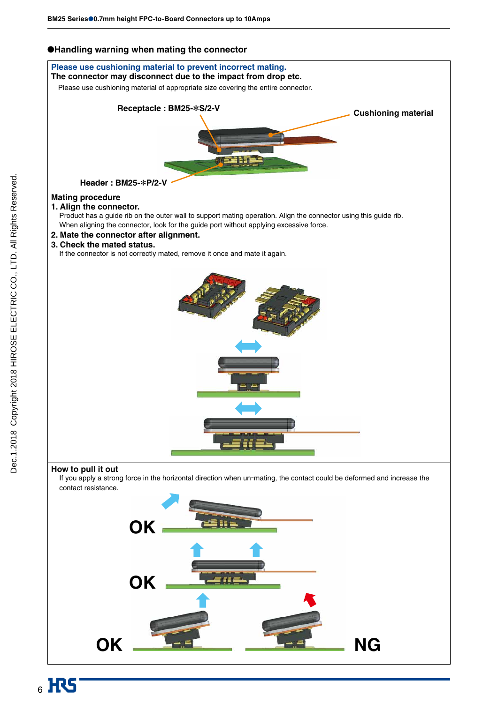### ●**Handling warning when mating the connector**

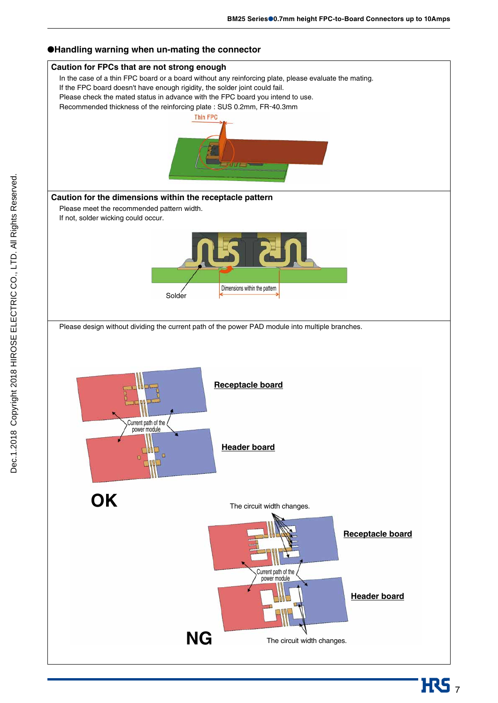**H**S<sub>7</sub>



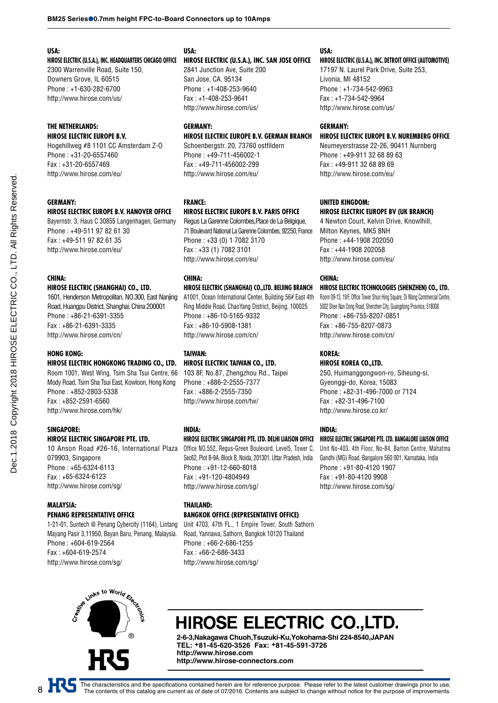#### **USA:**

**HIROSE ELECTRIC (U.S.A.), INC. HEADQUARTERS CHICAGO OFFICE**

2300 Warrenville Road, Suite 150, Downers Grove, IL 60515 Phone : +1-630-282-6700 http://www.hirose.com/us/

#### **THE NETHERLANDS: HIROSE ELECTRIC EUROPE B.V.**

Hogehillweg #8 1101 CC Amsterdam Z-O Phone : +31-20-6557460 Fax : +31-20-6557469 http://www.hirose.com/eu/

#### **GERMANY:**

### **HIROSE ELECTRIC EUROPE B.V. HANOVER OFFICE**

Bayernstr. 3, Haus C 30855 Langenhagen, Germany Phone : +49-511 97 82 61 30 Fax : +49-511 97 82 61 35 http://www.hirose.com/eu/

#### **CHINA:**

Dec.1.2018 Copyright 2018 HIROSE ELECTRIC CO., LTD. All Rights Reserved. Dec.1.2018 Copyright 2018 HIROSE ELECTRIC CO., LTD. All Rights Reserved.

#### **HIROSE ELECTRIC (SHANGHAI) CO., LTD.**

1601, Henderson Metropolitan, NO.300, East Nanjing Road, Huangpu District, Shanghai, China 200001 Phone : +86-21-6391-3355 Fax : +86-21-6391-3335 http://www.hirose.com/cn/

#### **HONG KONG:**

### **HIROSE ELECTRIC HONGKONG TRADING CO., LTD.**

Room 1001, West Wing, Tsim Sha Tsui Centre, 66 Mody Road, Tsim Sha Tsui East, Kowloon, Hong Kong Phone : +852-2803-5338 Fax : +852-2591-6560 http://www.hirose.com/hk/

#### **SINGAPORE:**

#### **HIROSE ELECTRIC SINGAPORE PTE. LTD.**

10 Anson Road #26-16, International Plaza 079903, Singapore Phone : +65-6324-6113 Fax : +65-6324-6123 http://www.hirose.com/sg/

#### **MALAYSIA: PENANG REPRESENTATIVE OFFICE**

1-21-01, Suntech @ Penang Cybercity (1164), Lintang Mayang Pasir 3,11950, Bayan Baru, Penang, Malaysia. Phone : +604-619-2564 Fax : +604-619-2574 http://www.hirose.com/sg/

### **USA:**

#### **HIROSE ELECTRIC (U.S.A.), INC. SAN JOSE OFFICE**

2841 Junction Ave, Suite 200 San Jose, CA. 95134 Phone : +1-408-253-9640 Fax : +1-408-253-9641 http://www.hirose.com/us/

### **GERMANY: HIROSE ELECTRIC EUROPE B.V. GERMAN BRANCH**

Schoenbergstr. 20, 73760 ostfildern Phone : +49-711-456002-1 Fax : +49-711-456002-299 http://www.hirose.com/eu/

#### **FRANCE:**

#### **HIROSE ELECTRIC EUROPE B.V. PARIS OFFICE**

Regus La Garenne Colombes,Place de La Belgique, 71 Boulevard National La Garenne Colombes, 92250, France Phone : +33 (0) 1 7082 3170 Fax : +33 (1) 7082 3101 http://www.hirose.com/eu/

#### **CHINA:**

#### **HIROSE ELECTRIC (SHANGHAI) CO.,LTD. BEIJING BRANCH**

A1001, Ocean International Center, Building 56# East 4th Ring Middle Road, ChaoYang District, Beijing, 100025 Phone : +86-10-5165-9332 Fax : +86-10-5908-1381 http://www.hirose.com/cn/

#### **TAIWAN: HIROSE ELECTRIC TAIWAN CO., LTD.**

103 8F, No.87, Zhengzhou Rd., Taipei Phone : +886-2-2555-7377 Fax : +886-2-2555-7350 http://www.hirose.com/tw/

#### **INDIA:**

### **HIROSE ELECTRIC SINGAPORE PTE. LTD. DELHI LIAISON OFFICE**

Office NO.552, Regus-Green Boulevard, Level5, Tower C, Sec62, Plot B-9A, Block B, Noida, 201301, Uttar Pradesh, India Phone : +91-12-660-8018 Fax : +91-120-4804949 http://www.hirose.com/sg/

### **THAILAND: BANGKOK OFFICE (REPRESENTATIVE OFFICE)**

Unit 4703, 47th FL., 1 Empire Tower, South Sathorn Road, Yannawa, Sathorn, Bangkok 10120 Thailand Phone : +66-2-686-1255 Fax : +66-2-686-3433 http://www.hirose.com/sg/

#### **USA:**

#### **HIROSE ELECTRIC (U.S.A.), INC. DETROIT OFFICE (AUTOMOTIVE)**

17197 N. Laurel Park Drive, Suite 253, Livonia, MI 48152 Phone : +1-734-542-9963 Fax : +1-734-542-9964 http://www.hirose.com/us/

#### **GERMANY:**

#### **HIROSE ELECTRIC EUROPE B.V. NUREMBERG OFFICE**

Neumeyerstrasse 22-26, 90411 Nurnberg Phone : +49-911 32 68 89 63 Fax : +49-911 32 68 89 69 http://www.hirose.com/eu/

#### **UNITED KINGDOM: HIROSE ELECTRIC EUROPE BV (UK BRANCH)**

4 Newton Court, Kelvin Drive, Knowlhill, Milton Keynes, MK5 8NH Phone : +44-1908 202050 Fax : +44-1908 202058 http://www.hirose.com/eu/

#### **CHINA:**

#### **HIROSE ELECTRIC TECHNOLOGIES (SHENZHEN) CO., LTD.**

Room 09-13, 19/F, Office Tower Shun Hing Square, Di Wang Commercial Centre, 5002 Shen Nan Dong Road, Shenzhen City, Guangdong Province, 518008 Phone : +86-755-8207-0851 Fax : +86-755-8207-0873 http://www.hirose.com/cn/

### **KOREA:**

#### **HIROSE KOREA CO.,LTD.** 250, Huimanggongwon-ro, Siheung-si, Gyeonggi-do, Korea, 15083 Phone : +82-31-496-7000 or 7124 Fax : +82-31-496-7100 http://www.hirose.co.kr/

#### **INDIA:**

#### **HIROSE ELECTRIC SINGAPORE PTE. LTD. BANGALORE LIAISON OFFICE**

Unit No-403, 4th Floor, No-84, Barton Centre, Mahatma Gandhi (MG) Road, Bangalore 560 001, Karnataka, India Phone : +91-80-4120 1907 Fax : +91-80-4120 9908 http://www.hirose.com/sg/



# HIROSE ELECTRIC CO.,LTD.

**2-6-3,Nakagawa Chuoh,Tsuzuki-Ku,Yokohama-Shi 224-8540,JAPAN TEL: +81-45-620-3526 Fax: +81-45-591-3726 http://www.hirose.com http://www.hirose-connectors.com**